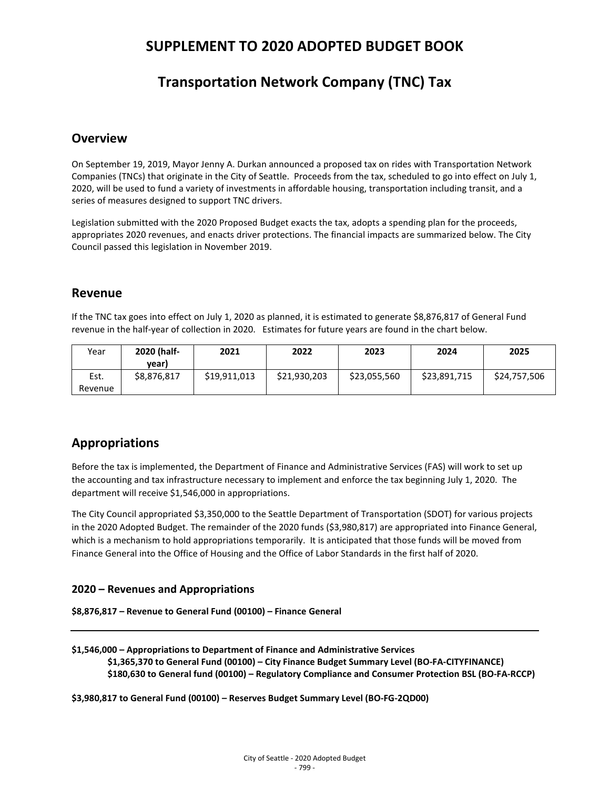# **SUPPLEMENT TO 2020 ADOPTED BUDGET BOOK**

# **Transportation Network Company (TNC) Tax**

### **Overview**

On September 19, 2019, Mayor Jenny A. Durkan announced a proposed tax on rides with Transportation Network Companies (TNCs) that originate in the City of Seattle. Proceeds from the tax, scheduled to go into effect on July 1, 2020, will be used to fund a variety of investments in affordable housing, transportation including transit, and a series of measures designed to support TNC drivers.

Legislation submitted with the 2020 Proposed Budget exacts the tax, adopts a spending plan for the proceeds, appropriates 2020 revenues, and enacts driver protections. The financial impacts are summarized below. The City Council passed this legislation in November 2019.

### **Revenue**

If the TNC tax goes into effect on July 1, 2020 as planned, it is estimated to generate \$8,876,817 of General Fund revenue in the half-year of collection in 2020. Estimates for future years are found in the chart below.

| Year    | 2020 (half- | 2021         | 2022         | 2023         | 2024         | 2025         |
|---------|-------------|--------------|--------------|--------------|--------------|--------------|
|         | vear)       |              |              |              |              |              |
| Est.    | \$8,876,817 | \$19,911,013 | \$21,930,203 | \$23,055,560 | \$23,891,715 | \$24,757,506 |
| Revenue |             |              |              |              |              |              |

## **Appropriations**

Before the tax is implemented, the Department of Finance and Administrative Services (FAS) will work to set up the accounting and tax infrastructure necessary to implement and enforce the tax beginning July 1, 2020. The department will receive \$1,546,000 in appropriations.

The City Council appropriated \$3,350,000 to the Seattle Department of Transportation (SDOT) for various projects in the 2020 Adopted Budget. The remainder of the 2020 funds (\$3,980,817) are appropriated into Finance General, which is a mechanism to hold appropriations temporarily. It is anticipated that those funds will be moved from Finance General into the Office of Housing and the Office of Labor Standards in the first half of 2020.

### **2020 – Revenues and Appropriations**

```
$8,876,817 – Revenue to General Fund (00100) – Finance General
```

```
$1,546,000 – Appropriations to Department of Finance and Administrative Services 
$1,365,370 to General Fund (00100) – City Finance Budget Summary Level (BO-FA-CITYFINANCE)
$180,630 to General fund (00100) – Regulatory Compliance and Consumer Protection BSL (BO-FA-RCCP)
```
**\$3,980,817 to General Fund (00100) – Reserves Budget Summary Level (BO-FG-2QD00)**